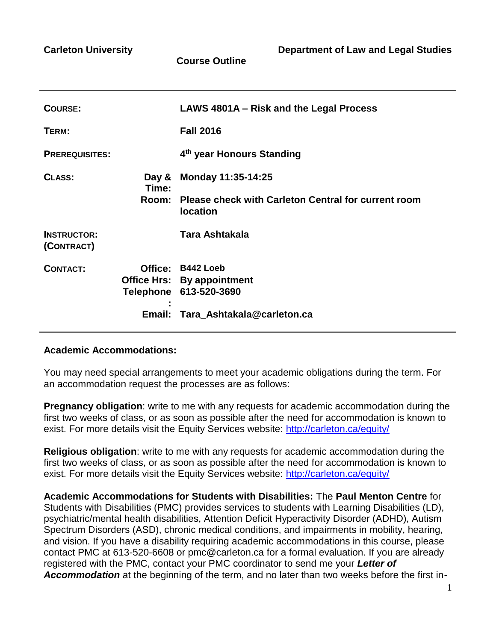**Course Outline**

| COURSE:                          |                | LAWS 4801A - Risk and the Legal Process                                                                               |
|----------------------------------|----------------|-----------------------------------------------------------------------------------------------------------------------|
| TERM:                            |                | <b>Fall 2016</b>                                                                                                      |
| <b>PREREQUISITES:</b>            |                | 4 <sup>th</sup> year Honours Standing                                                                                 |
| CLASS:                           | Day &<br>Time: | Monday 11:35-14:25                                                                                                    |
|                                  | Room:          | <b>Please check with Carleton Central for current room</b><br><b>location</b>                                         |
| <b>INSTRUCTOR:</b><br>(CONTRACT) |                | Tara Ashtakala                                                                                                        |
| <b>CONTACT:</b>                  |                | Office: B442 Loeb<br><b>Office Hrs: By appointment</b><br>Telephone 613-520-3690<br>Email: Tara_Ashtakala@carleton.ca |
|                                  |                |                                                                                                                       |

### **Academic Accommodations:**

You may need special arrangements to meet your academic obligations during the term. For an accommodation request the processes are as follows:

**Pregnancy obligation**: write to me with any requests for academic accommodation during the first two weeks of class, or as soon as possible after the need for accommodation is known to exist. For more details visit the Equity Services website:<http://carleton.ca/equity/>

**Religious obligation**: write to me with any requests for academic accommodation during the first two weeks of class, or as soon as possible after the need for accommodation is known to exist. For more details visit the Equity Services website:<http://carleton.ca/equity/>

**Academic Accommodations for Students with Disabilities:** The **Paul Menton Centre** for Students with Disabilities (PMC) provides services to students with Learning Disabilities (LD), psychiatric/mental health disabilities, Attention Deficit Hyperactivity Disorder (ADHD), Autism Spectrum Disorders (ASD), chronic medical conditions, and impairments in mobility, hearing, and vision. If you have a disability requiring academic accommodations in this course, please contact PMC at 613-520-6608 or pmc@carleton.ca for a formal evaluation. If you are already registered with the PMC, contact your PMC coordinator to send me your *Letter of Accommodation* at the beginning of the term, and no later than two weeks before the first in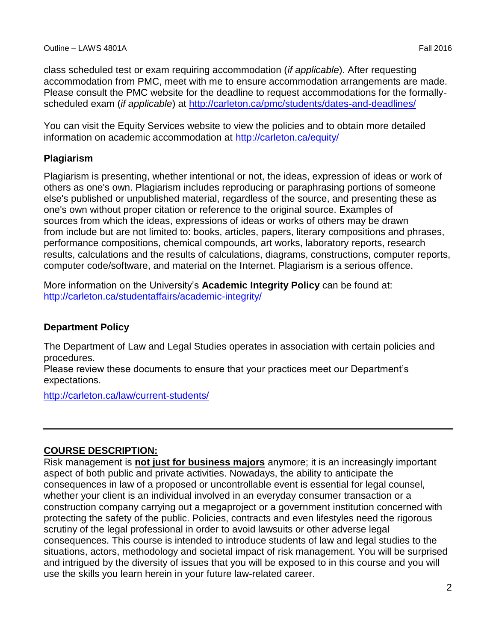class scheduled test or exam requiring accommodation (*if applicable*). After requesting accommodation from PMC, meet with me to ensure accommodation arrangements are made. Please consult the PMC website for the deadline to request accommodations for the formallyscheduled exam (*if applicable*) at<http://carleton.ca/pmc/students/dates-and-deadlines/>

You can visit the Equity Services website to view the policies and to obtain more detailed information on academic accommodation at<http://carleton.ca/equity/>

### **Plagiarism**

Plagiarism is presenting, whether intentional or not, the ideas, expression of ideas or work of others as one's own. Plagiarism includes reproducing or paraphrasing portions of someone else's published or unpublished material, regardless of the source, and presenting these as one's own without proper citation or reference to the original source. Examples of sources from which the ideas, expressions of ideas or works of others may be drawn from include but are not limited to: books, articles, papers, literary compositions and phrases, performance compositions, chemical compounds, art works, laboratory reports, research results, calculations and the results of calculations, diagrams, constructions, computer reports, computer code/software, and material on the Internet. Plagiarism is a serious offence.

More information on the University's **Academic Integrity Policy** can be found at: <http://carleton.ca/studentaffairs/academic-integrity/>

## **Department Policy**

The Department of Law and Legal Studies operates in association with certain policies and procedures.

Please review these documents to ensure that your practices meet our Department's expectations.

<http://carleton.ca/law/current-students/>

## **COURSE DESCRIPTION:**

Risk management is **not just for business majors** anymore; it is an increasingly important aspect of both public and private activities. Nowadays, the ability to anticipate the consequences in law of a proposed or uncontrollable event is essential for legal counsel, whether your client is an individual involved in an everyday consumer transaction or a construction company carrying out a megaproject or a government institution concerned with protecting the safety of the public. Policies, contracts and even lifestyles need the rigorous scrutiny of the legal professional in order to avoid lawsuits or other adverse legal consequences. This course is intended to introduce students of law and legal studies to the situations, actors, methodology and societal impact of risk management. You will be surprised and intrigued by the diversity of issues that you will be exposed to in this course and you will use the skills you learn herein in your future law-related career.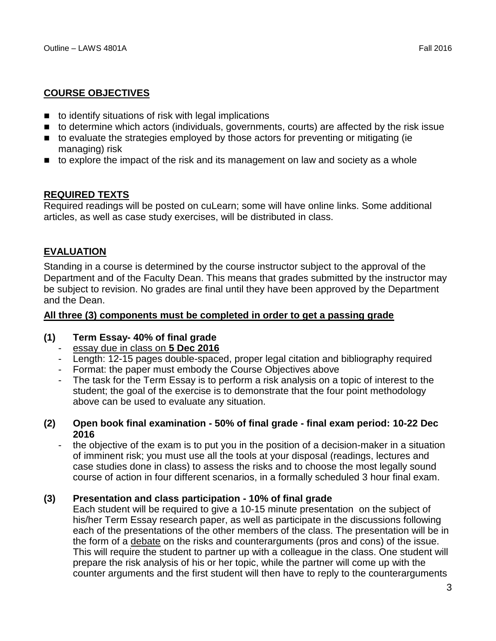## **COURSE OBJECTIVES**

- to identify situations of risk with legal implications
- to determine which actors (individuals, governments, courts) are affected by the risk issue
- to evaluate the strategies employed by those actors for preventing or mitigating (ie managing) risk
- $\blacksquare$  to explore the impact of the risk and its management on law and society as a whole

## **REQUIRED TEXTS**

Required readings will be posted on cuLearn; some will have online links. Some additional articles, as well as case study exercises, will be distributed in class.

## **EVALUATION**

Standing in a course is determined by the course instructor subject to the approval of the Department and of the Faculty Dean. This means that grades submitted by the instructor may be subject to revision. No grades are final until they have been approved by the Department and the Dean.

### **All three (3) components must be completed in order to get a passing grade**

### **(1) Term Essay- 40% of final grade**

- essay due in class on **5 Dec 2016**
- Length: 12-15 pages double-spaced, proper legal citation and bibliography required
- Format: the paper must embody the Course Objectives above
- The task for the Term Essay is to perform a risk analysis on a topic of interest to the student; the goal of the exercise is to demonstrate that the four point methodology above can be used to evaluate any situation.

### **(2) Open book final examination - 50% of final grade - final exam period: 10-22 Dec 2016**

the objective of the exam is to put you in the position of a decision-maker in a situation of imminent risk; you must use all the tools at your disposal (readings, lectures and case studies done in class) to assess the risks and to choose the most legally sound course of action in four different scenarios, in a formally scheduled 3 hour final exam.

### **(3) Presentation and class participation - 10% of final grade**

Each student will be required to give a 10-15 minute presentation on the subject of his/her Term Essay research paper, as well as participate in the discussions following each of the presentations of the other members of the class. The presentation will be in the form of a debate on the risks and counterarguments (pros and cons) of the issue. This will require the student to partner up with a colleague in the class. One student will prepare the risk analysis of his or her topic, while the partner will come up with the counter arguments and the first student will then have to reply to the counterarguments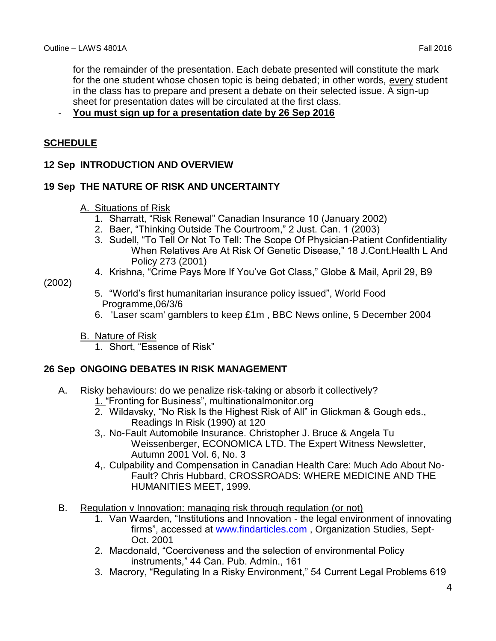for the remainder of the presentation. Each debate presented will constitute the mark for the one student whose chosen topic is being debated; in other words, every student in the class has to prepare and present a debate on their selected issue. A sign-up sheet for presentation dates will be circulated at the first class.

## - **You must sign up for a presentation date by 26 Sep 2016**

## **SCHEDULE**

## **12 Sep INTRODUCTION AND OVERVIEW**

## **19 Sep THE NATURE OF RISK AND UNCERTAINTY**

### A. Situations of Risk

- 1. Sharratt, "Risk Renewal" Canadian Insurance 10 (January 2002)
- 2. Baer, "Thinking Outside The Courtroom," 2 Just. Can. 1 (2003)
- 3. Sudell, "To Tell Or Not To Tell: The Scope Of Physician-Patient Confidentiality When Relatives Are At Risk Of Genetic Disease," 18 J.Cont.Health L And Policy 273 (2001)
- 4. Krishna, "Crime Pays More If You've Got Class," Globe & Mail, April 29, B9

## (2002)

- 5. "World's first humanitarian insurance policy issued", World Food Programme,06/3/6
- 6. 'Laser scam' gamblers to keep £1m , BBC News online, 5 December 2004
- B. Nature of Risk
	- 1. Short, "Essence of Risk"

### **26 Sep ONGOING DEBATES IN RISK MANAGEMENT**

- A. Risky behaviours: do we penalize risk-taking or absorb it collectively?
	- 1. "Fronting for Business", multinationalmonitor.org
	- 2. Wildavsky, "No Risk Is the Highest Risk of All" in Glickman & Gough eds., Readings In Risk (1990) at 120
	- 3,. No-Fault Automobile Insurance. Christopher J. Bruce & Angela Tu Weissenberger, ECONOMICA LTD. The Expert Witness Newsletter, Autumn 2001 Vol. 6, No. 3
	- 4,. Culpability and Compensation in Canadian Health Care: Much Ado About No-Fault? Chris Hubbard, CROSSROADS: WHERE MEDICINE AND THE HUMANITIES MEET, 1999.
- B. Regulation v Innovation: managing risk through regulation (or not)
	- 1. Van Waarden, "Institutions and Innovation the legal environment of innovating firms", accessed at [www.findarticles.com](http://www.findarticles.com/) , Organization Studies, Sept-Oct. 2001
	- 2. Macdonald, "Coerciveness and the selection of environmental Policy instruments," 44 Can. Pub. Admin., 161
	- 3. Macrory, "Regulating In a Risky Environment," 54 Current Legal Problems 619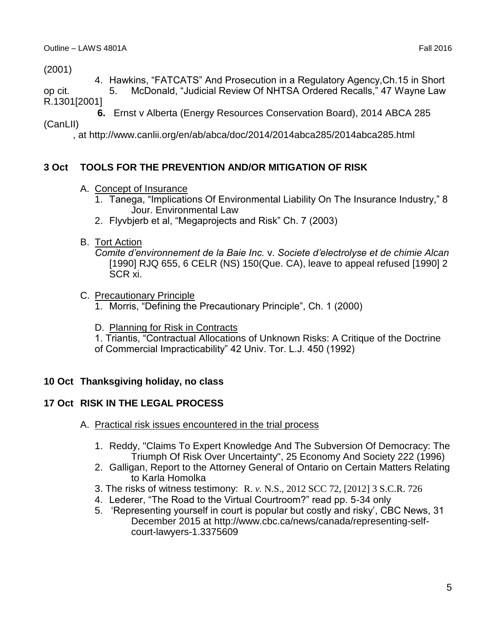(2001)

4. Hawkins, "FATCATS" And Prosecution in a Regulatory Agency,Ch.15 in Short

op cit. 5. McDonald, "Judicial Review Of NHTSA Ordered Recalls," 47 Wayne Law R.1301[2001]

 **6.** Ernst v Alberta (Energy Resources Conservation Board), 2014 ABCA 285

(CanLII)

, at http://www.canlii.org/en/ab/abca/doc/2014/2014abca285/2014abca285.html

# **3 Oct TOOLS FOR THE PREVENTION AND/OR MITIGATION OF RISK**

- A. Concept of Insurance
	- 1. Tanega, "Implications Of Environmental Liability On The Insurance Industry," 8 Jour. Environmental Law
	- 2. Flyvbjerb et al, "Megaprojects and Risk" Ch. 7 (2003)
- B. Tort Action

*Comite d'environnement de la Baie Inc.* v. *Societe d'electrolyse et de chimie Alcan*  [1990] RJQ 655, 6 CELR (NS) 150(Que. CA), leave to appeal refused [1990] 2 SCR xi.

- C. Precautionary Principle
	- 1. Morris, "Defining the Precautionary Principle", Ch. 1 (2000)
	- D. Planning for Risk in Contracts

1. Triantis, "Contractual Allocations of Unknown Risks: A Critique of the Doctrine of Commercial Impracticability" 42 Univ. Tor. L.J. 450 (1992)

## **10 Oct Thanksgiving holiday, no class**

# **17 Oct RISK IN THE LEGAL PROCESS**

- A. Practical risk issues encountered in the trial process
	- 1. Reddy, "Claims To Expert Knowledge And The Subversion Of Democracy: The Triumph Of Risk Over Uncertainty", 25 Economy And Society 222 (1996)
	- 2. Galligan, Report to the Attorney General of Ontario on Certain Matters Relating to Karla Homolka
	- 3. The risks of witness testimony: R. *v.* N.S., 2012 SCC 72, [2012] 3 S.C.R. 726
	- 4. Lederer, "The Road to the Virtual Courtroom?" read pp. 5-34 only
	- 5. 'Representing yourself in court is popular but costly and risky', CBC News, 31 December 2015 at http://www.cbc.ca/news/canada/representing-selfcourt-lawyers-1.3375609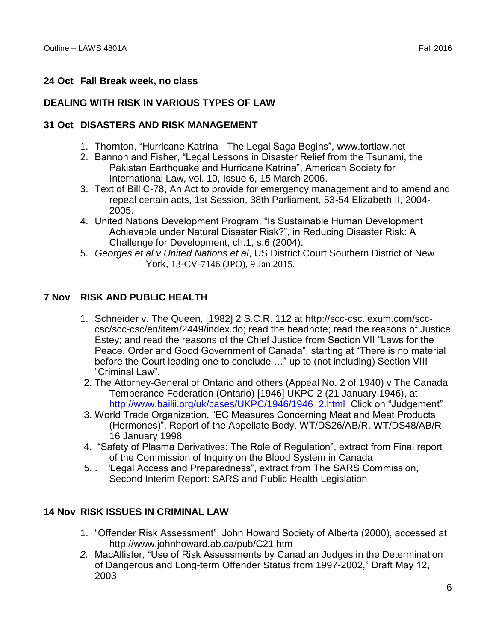## **24 Oct Fall Break week, no class**

### **DEALING WITH RISK IN VARIOUS TYPES OF LAW**

### **31 Oct DISASTERS AND RISK MANAGEMENT**

- 1. Thornton, "Hurricane Katrina The Legal Saga Begins", www.tortlaw.net
- 2. Bannon and Fisher, "Legal Lessons in Disaster Relief from the Tsunami, the Pakistan Earthquake and Hurricane Katrina", American Society for International Law, vol. 10, Issue 6, 15 March 2006.
- 3. Text of Bill C-78, An Act to provide for emergency management and to amend and repeal certain acts, 1st Session, 38th Parliament, 53-54 Elizabeth II, 2004- 2005.
- 4. United Nations Development Program, "Is Sustainable Human Development Achievable under Natural Disaster Risk?", in Reducing Disaster Risk: A Challenge for Development, ch.1, s.6 (2004).
- 5. *Georges et al v United Nations et al*, US District Court Southern District of New York, 13-CV-7146 (JPO), 9 Jan 2015.

### **7 Nov RISK AND PUBLIC HEALTH**

- 1. Schneider v. The Queen, [1982] 2 S.C.R. 112 at http://scc-csc.lexum.com/scccsc/scc-csc/en/item/2449/index.do; read the headnote; read the reasons of Justice Estey; and read the reasons of the Chief Justice from Section VII "Laws for the Peace, Order and Good Government of Canada", starting at "There is no material before the Court leading one to conclude …" up to (not including) Section VIII "Criminal Law".
- 2. The Attorney-General of Ontario and others (Appeal No. 2 of 1940) v The Canada Temperance Federation (Ontario) [1946] UKPC 2 (21 January 1946), at [http://www.bailii.org/uk/cases/UKPC/1946/1946\\_2.html](http://www.bailii.org/uk/cases/UKPC/1946/1946_2.html) Click on "Judgement"
- 3. World Trade Organization, "EC Measures Concerning Meat and Meat Products (Hormones)", Report of the Appellate Body, WT/DS26/AB/R, WT/DS48/AB/R 16 January 1998
- 4. "Safety of Plasma Derivatives: The Role of Regulation", extract from Final report of the Commission of Inquiry on the Blood System in Canada
- 5. . 'Legal Access and Preparedness", extract from The SARS Commission, Second Interim Report: SARS and Public Health Legislation

#### **14 Nov RISK ISSUES IN CRIMINAL LAW**

- 1. "Offender Risk Assessment", John Howard Society of Alberta (2000), accessed at http://www.johnhoward.ab.ca/pub/C21.htm
- *2.* MacAllister, "Use of Risk Assessments by Canadian Judges in the Determination of Dangerous and Long-term Offender Status from 1997-2002," Draft May 12, 2003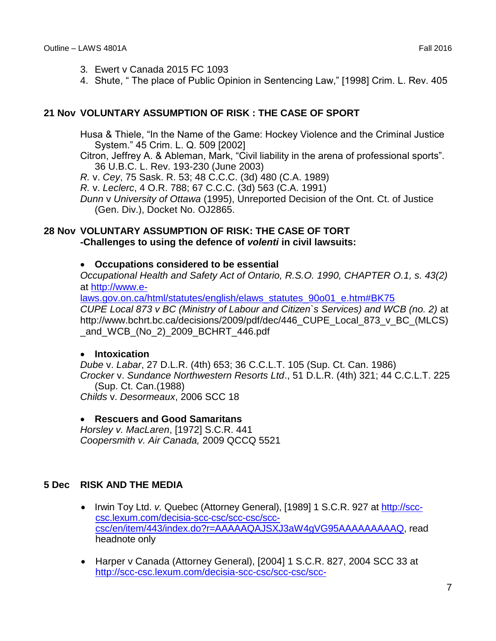- 3*.* Ewert v Canada 2015 FC 1093
- 4. Shute, " The place of Public Opinion in Sentencing Law," [1998] Crim. L. Rev. 405

### **21 Nov VOLUNTARY ASSUMPTION OF RISK : THE CASE OF SPORT**

Husa & Thiele, "In the Name of the Game: Hockey Violence and the Criminal Justice System." 45 Crim. L. Q. 509 [2002]

Citron, Jeffrey A. & Ableman, Mark, "Civil liability in the arena of professional sports". 36 U.B.C. L. Rev. 193-230 (June 2003)

*R.* v. *Cey*, 75 Sask. R. 53; 48 C.C.C. (3d) 480 (C.A. 1989)

*R.* v. *Leclerc*, 4 O.R. 788; 67 C.C.C. (3d) 563 (C.A. 1991)

*Dunn* v *University of Ottawa* (1995), Unreported Decision of the Ont. Ct. of Justice (Gen. Div.), Docket No. OJ2865.

## **28 Nov VOLUNTARY ASSUMPTION OF RISK: THE CASE OF TORT -Challenges to using the defence of** *volenti* **in civil lawsuits:**

### **Occupations considered to be essential**

*Occupational Health and Safety Act of Ontario, R.S.O. 1990, CHAPTER O.1, s. 43(2)*  at [http://www.e-](http://www.e-laws.gov.on.ca/html/statutes/english/elaws_statutes_90o01_e.htm#BK75)

[laws.gov.on.ca/html/statutes/english/elaws\\_statutes\\_90o01\\_e.htm#BK75](http://www.e-laws.gov.on.ca/html/statutes/english/elaws_statutes_90o01_e.htm#BK75) *CUPE Local 873 v BC (Ministry of Labour and Citizen`s Services) and WCB (no. 2)* at http://www.bchrt.bc.ca/decisions/2009/pdf/dec/446\_CUPE\_Local\_873\_v\_BC\_(MLCS) \_and\_WCB\_(No\_2)\_2009\_BCHRT\_446.pdf

### **Intoxication**

*Dube* v. *Labar*, 27 D.L.R. (4th) 653; 36 C.C.L.T. 105 (Sup. Ct. Can. 1986) *Crocker* v. *Sundance Northwestern Resorts Ltd*., 51 D.L.R. (4th) 321; 44 C.C.L.T. 225 (Sup. Ct. Can.(1988) *Childs* v. *Desormeaux*, 2006 SCC 18

#### **Rescuers and Good Samaritans**

*Horsley v. MacLaren*, [1972] S.C.R. 441 *Coopersmith v. Air Canada,* 2009 QCCQ 5521

### **5 Dec RISK AND THE MEDIA**

- Irwin Toy Ltd. *v.* Quebec (Attorney General), [1989] 1 S.C.R. 927 at [http://scc](http://scc-csc.lexum.com/decisia-scc-csc/scc-csc/scc-csc/en/item/443/index.do?r=AAAAAQAJSXJ3aW4gVG95AAAAAAAAAQ)[csc.lexum.com/decisia-scc-csc/scc-csc/scc](http://scc-csc.lexum.com/decisia-scc-csc/scc-csc/scc-csc/en/item/443/index.do?r=AAAAAQAJSXJ3aW4gVG95AAAAAAAAAQ)[csc/en/item/443/index.do?r=AAAAAQAJSXJ3aW4gVG95AAAAAAAAAQ,](http://scc-csc.lexum.com/decisia-scc-csc/scc-csc/scc-csc/en/item/443/index.do?r=AAAAAQAJSXJ3aW4gVG95AAAAAAAAAQ) read headnote only
- Harper v Canada (Attorney General), [2004] 1 S.C.R. 827, 2004 SCC 33 at [http://scc-csc.lexum.com/decisia-scc-csc/scc-csc/scc-](http://scc-csc.lexum.com/decisia-scc-csc/scc-csc/scc-csc/en/item/2146/index.do?r=AAAAAQAiSGFycGVyIHYgY2FuYWRhIChhdHRvcm5leSBnZW5lcmFsKQAAAAAAAAE)